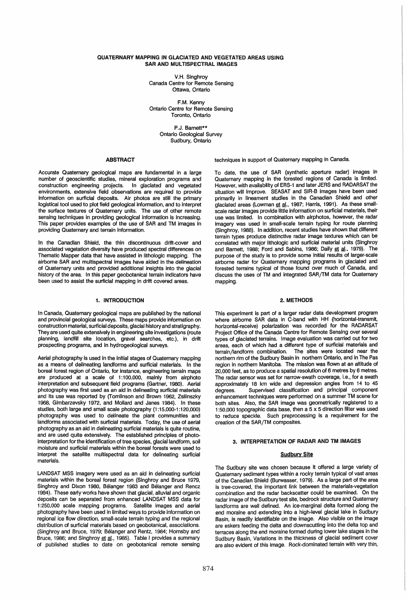### QUATERNARY MAPPING IN GLACIATED AND VEGETATED AREAS USING SAR AND MULTISPECTRAL IMAGES

V.H. Singhroy Canada Centre for Remote Sensing Ottawa, Ontario

F.M. Kenny Ontario Centre for Remote Sensing Toronto, Ontario

> P.J. Barnett\*\* Ontario Geological Survey Sudbury, Ontario

### ABSTRACT

Accurate Quaternary geological maps are fundamental in a large number of geoscientific studies, mineral exploration programs and construction engineering projects. In glaciated and vegetated environments, extensive field observations are required to provide information on surficial deposits. Air photos are still the primary logistical tool used to plot field geological information, and to interpret the surface textures of Quaternary units. The use of other remote sensing techniques in providing geological information is increasing. This paper provides examples of the use of SAR and TM images in providing Quaternary and terrain information.

In the Canadian Shield, the thin discontinuous drift-cover and associated vegetation diversity have produced spectral differences on Thematic Mapper data that have assisted in lithologic mapping. The airborne SAR and multispectral images have aided in the delineation of Quaternary units and provided additional insights into the glacial history of the area. In this paper geobotanical terrain indicators have been used to assist the surficial mapping in drift covered areas.

## 1. INTRODUCTION

In Canada, Quaternary geological maps are published by the national and provincial geological surveys. These maps provide information on construction material, surficial deposits, glacial history and stratigraphy. They are used quite extensively in engineering site investigations (route planning, landfill site location, gravel searches, etc.), in drift prospecting programs, and in hydrogeological surveys.

Aerial photography is used in the initial stages of Quaternary mapping as a means of delineating landforms and surficial materials. In the boreal forest region of Ontario, for instance, engineering terrain maps are produced at a scale of 1:100,000, mainly from airphoto interpretation and subsequent field programs (Gartner, 1980). Aerial photography was first used as an aid in delineating surficial materials and its use was reported by (Tomlinson and Brown 1962, Zsilinszky 1968, Gimbarzevsky 1972, and Mollard and Janes 1984). In these studies, both large and small scale photography (1: 15,000-1: 120,000) photography was used to delineate the plant communities and landforms associated with surficial materials. Today, the use of aerial photography as an aid in delineating surficial materials is quite routine, and are used quite extensively. The established principles of photointerpretation for the identification of tree species, glacial landform, soil moisture and surficial materials within the boreal forests were used to interpret the satellite multispectral data for delineating surficial materials.

LANDSAT MSS imagery were used as an aid in delineating surficial materials within the boreal forest region (Singhroy and Bruce 1979, Singhroy and Dixon 1980, Belanger 1983 and Belanger and Rencz 1984). These early works have shown that glacial, alluvial and organic deposits can be separated from enhanced LANDSAT MSS data for 1 :250,000 scale mapping programs. Satellite images and aerial photography have been used in limited ways to provide information on regional ice flow direction, small-scale terrain typing and the regional distribution of surficial materials based on geobotanical, associations. (Singhroy and Bruce, 1979; Belanger and Rentz, 1984; Hornsby and Bruce, 1986; and Singhroy et al., 1985). Table I provides a summary of published studies to date on geobotanical remote sensing

techniques in support of Quaternary mapping in Canada.

To date, the use of SAR (synthetic aperture radar) images in Quaternary mapping in the forested regions of Canada is limited. However, with availability of ERS-1 and later JERS and RADARSAT the situation will improve. SEASAT and SIR-B images have been used primarily in lineament studies in the Canadian Shield and other glaciated areas (Lowman et al., 1987; Harris, 1991). As these smallscale radar images provide little information on surficial materials, their use was limited. In combination with airphotos, however, the radar imagery was used in small-scale terrain typing for route planning (Singhroy, 1988). In addition, recent studies have shown that different terrain types produce distinctive radar image textures which can be correlated with major lithologic and surficial material units (Singhroy and Barnett, 1988; Ford and Sabins, 1986; Daily et al., 1979). The purpose of the study is to provide some initial results of larger-scale airborne radar for Quaternary mapping programs in glaciated and forested terrains typical of those found over much of Canada, and discuss the uses of TM and integrated SAR/TM data for Quaternary mapping.

## 2. METHODS

This experiment is part of a larger radar data development program where airborne SAR data in C-band with HH (horizontal-transmit, horizontal-receive) polarization was recorded for the RADARSAT Project Office of the Canada Centre for Remote Sensing over several types of glaciated terrains. Image evaluation was carried out for two areas, each of which had a different type of surficial materials and terrain/landform combination. The sites were located near the northern rim of the Sudbury Basin in northern Ontario, and in The Pas region in northern Manitoba. The mission was flown at an altitude of 20,000 feet, as to produce a spatial resolution of 6 metres by 6 metres. The radar sensor was set for narrow-swath coverage, i.e., for a swath approximately 18 km wide and depression angles from 14 to 45 degrees. Supervised classification and principal component enhancement techniques were performed on a summer TM scene for both sites. Also, the SAR image was geometrically registered to a 1 :50,000 topographic data base, then a 5 x 5 direction filter was used to reduce speckle. Such preprocessing is a requirement for the creation of the SAR/TM composites.

## 3. INTERPRETATION OF RADAR AND TM IMAGES

#### **Sudbury Site**

The Sudbury site was chosen because it offered a large variety of Quaternary sediment types within a rocky terrain typical of vast areas of the Canadian Shield (Burwasser, 1979). As a large part of the area is tree-covered, the important link between the materials-vegetation combination and the radar backscatter could be examined. On the radar image of the Sudbury test site, bedrock structure and Quaternary landforms are well defined. An ice-marginal delta formed along the end moraine and extending into a high-level glacial lake in Sudbury Basin, is readily identifiable on the image. Also visible on the image are eskers feeding the delta and downscutting into the delta top and terraces along the end moraine formed during lower lake stages in the Sudbury Basin, Variations in the thickness of glacial sediment cover are also evident of this image. Rock-dominated terrain with very thin,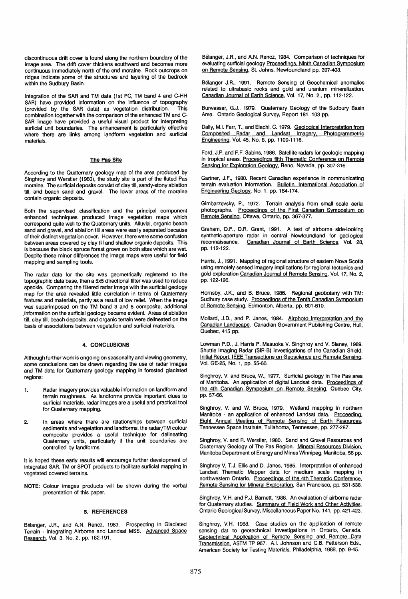discontinuous drift cover is found along the northern boundary of the image area. The drift cover thickens southward and becomes more continuous immediately north of the end moraine. Rock outcrops on ridges indicate some of the structures and layering of the bedrock within the Sudbury Basin.

Integration of the SAR and TM data (1st PC, TM band 4 and C-HH SAR) have provided information on the influence of topography<br>(provided by the SAR data) as vegetation distribution. This (provided by the SAR data) as vegetation distribution. combination together with the comparison of the enhanced TM and C-SAR image have provided a useful visual product for interpreting surficial unit boundaries. The enhancement is particularly effective where there are links among landform vegetation and surficial materials.

### The Pas Site

According to the Quaternary geology map of the area produced by Singhroy and Werstler (1980), the study site is part of the fluted Pas moraine. The surficial deposits consist of clay till, sandy-stony ablation till, and beach sand and gravel. The lower areas of the moraine contain organic deposits.

Both the supervised classification and the principal component enhanced techniques produced image vegetation maps which correspond quite well to the Quaternary units. Alluvial, organic beach sand and gravel, and ablation till areas were easily separated because of their distinct vegetation cover. However, there were some confusion between areas covered by clay till and shallow organic deposits. This is because the black spruce forest grows on both sites which are wet. Despite these minor differences the image maps were useful for field mapping and sampling tools.

The radar data for the site was geometrically registered to the topographic data base, then a 5x5 directional filter was used to reduce speckle. Comparing the filtered radar image with the surficial geology map for the area revealed little correlation in terms of Quaternary features and materials, partly as a result of low relief. When the image was superimposed on the TM band 3 and 5 composite, additional ,information on the surficial geology became evident. Areas of ablation till, clay till, beach deposits, and organic terrain were delineated on the basis of associations between vegetation and surficial materials.

### 4. CONCLUSIONS

Although further work is ongoing on seasonality and viewing geometry, some conclusions can be drawn regarding the use of radar images and TM data for Quaternary geology mapping in forested glaciated regions:

- 1. Radar imagery provides valuable information on landform and terrain roughness. As landforms provide important clues to surficial materials, radar images are a useful and practical tool for Quaternary mapping.
- 2. In areas where there are relationships between surficial sediments and vegetation and landforms, the radar/TM colour composite provides a useful technique for delineating Quaternary units, particularly if the unit boundaries are controlled by landforms.

It is hoped these early results will encourage further development of integrated SAR, TM or SPOT products to facilitate surficial mapping in vegetated covered terrains.

NOTE: Colour images products will be shown during the verbal presentation of this paper.

#### 5. REFERENCES

Belanger, J.R., and AN, Rencz, 1983. Prospecting in Glaciated Terrain - Integrating Airborne and Landsat MSS. Advanced Space Research, Vol. 3, No.2, pp. 182-191.

Belanger, J.R., and AN. Rencz, 1984. Comparison of techniques for evaluating surficial geology Proceedings. Ninth Canadian Symposium on Remote Sensing, St. Johns, Newfoundland pp. 397-403.

Belanger J,R., 1991. Remote Sensing of Geochemical anomalies related to ultrabasic rocks and gold and uranium mineralization. Canadian Journal of Earth Science, Vol. 17, No.2., pp. 112-122.

Burwasser, G.J., 1979. Quaternary Geology of the Sudbury Basin Area. Ontario Geological Survey, Report 181, 103 pp.

Dally, M.1. Farr, T., and Elachi, C. 1979. Geological Interpretation from Composited Radar and Landsat Imagery. Photogrammetric Engineering, Vol. 45, No.8, pp. 1109-1116.

Ford, J.P. and F.F. Sabins, 1986. Satellite radars for geologic mapping in tropical areas. Proceedings fifth Thematic Conference on Remote Sensing for Exploration Geology. Reno, Nevada, pp. 307-316.

Gartner, J.F., 1980. Recent Canadian experience in communicating terrain evaluation information. Bulletin. International Association of Engineering Geology, No.1, pp. 164-174.

Gimbarzevsky, P., 1972. Terrain analysis from small scale aerial photographs. Proceedings of the First Canadian Symposium on Remote Sensing, Ottawa, Ontario, pp. 367-377.

Graham, D.F., D.R. Grant, 1991. A test of airborne side-looking synthetic-aperture radar in central Newfoundland for geological reconnaissance. Canadian Journal of Earth Science, Vol. 28, pp.112-122.

Harris, J., 1991. Mapping of regional structure of eastern Nova Scotia using remotely sensed imagery implications for regional tectonics and gold exploration Canadian Journal of Remote Sensing, Vol. 17, No.2, pp. 122-126.

Hornsby, J.K., and B. Bruce, 1986. Regional geobotany with TM: Sudbury case study. Proceedings of the Tenth Canadian Symposium of Remote Sensing, Edmonton, Alberta, pp. 601-610.

Mollard, J.D., and P. Janes, 1984. Airphoto Interpretation and the Canadian Landscape. Canadian Government Publishing Centre, Hull, Quebec, 415 pp.

Lowman P.D., J. Harris P. Masuoka V. Singhroy and V. Slaney, 1989. Shuttle Imaging Radar (SIR-B) investigations of the Canadian Shield. Initial Report. IEEE Transactions on Geoscience and Remote Sensing, Vol. GE-25, No.1, pp. 55-66.

Singhroy, V. and Bruce, W., 1977. Surficial geology in The Pas area of Manitoba. An application of digital Landsat data. Proceedings of the 4th Canadian Symposium on Remote Sensing, Quebec City, pp.57-66.

Singhroy, V. and W. Bruce, 1979. Wetland mapping in northern Manitoba - an application of enhanced Landsat data. Proceeding. Eight Annual Meeting of Remote Sensing of Earth Resources, Tennessee Space Institute, Tullahoma, Tennessee, pp. 277-287.

Singhroy, V. and R. Werstler, 1980. Sand and Gravel Resources and Quaternary Geology of The Pas Region. Mineral Resources Division, Manitoba Department of Energy and Mines Winnipeg, Manitoba, 56 pp.

Singhroy V, T.J. Ellis and D. Janes, 1985. Interpretation of enhanced Landsat Thematic Mapper data for medium scale mapping in northwestern Ontario, Proceedings of the 4th Thematic Conference. Remote Sensing for Mineral Exploration, San Francisco, pp. 531-538.

Singhroy, V.H. and P.J. Barnett, 1988. An evaluation of airborne radar for Quaternary studies. Summary of Field Work and Other Activities, Ontario Geological Survey, Miscellaneous Paper No. 141, pp. 421-423.

Singhroy, V.H. 1988. Case studies on the application of remote sensing dat to geotechnical investigations in Ontario, Canada. Geotechnical Application of Remote Sensing and Remote Data Transmission. ASTM TP 967. AI. Johnson and C.B. Petterson Eds., American Society for Testing Materials, Philadelphia, 1988, pp. 9-45.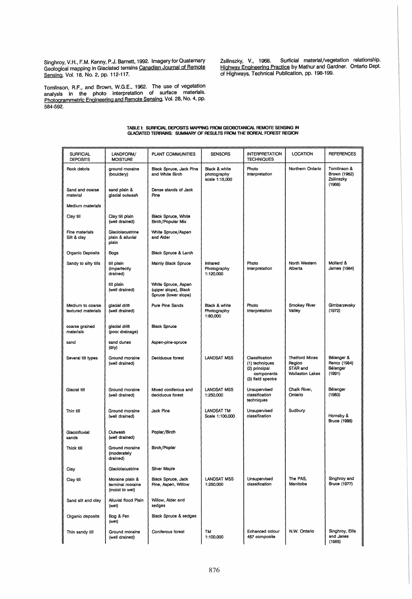Singhroy, V.H., F.M. Kenny, P.J. Barnett, 1992. ImageryforQuaternary Geological mapping in Glaciated terrains Canadian Journal of Remote Sensing, Vol. 18, No.2, pp. 112-117.

Zsilinszky, V., 1968. Surficial material/vegetation relationship. Highway Engineering Practice by Mathur and Gardner. Ontario Dept. of Highways, Technical Publication, pp. 198-199.

Tomlinson, R.F., and Brown, W.G.E., 1962. The use of vegetation analysis in the photo interpretation of surface materials. Photogrammetric Engineering and Remote Sensing, Vol. 28, No. 4, pp. 584-592.

# TABLE I: SURfICIAl DEPOSITS MAPPING fROM GEOOOTANICAL. REMOTE SENSING IN GLACIATED TERRAINS: SUMMARY OF RESUlTS fROM THE BOREAl FOREST REGION

| <b>SURFICIAL</b><br><b>DEPOSITS</b>    | LANDFORM/<br><b>MOISTURE</b>                          | PLANT COMMUNITIES                                                   | <b>SENSORS</b>                                 | <b>INTERPRETATION</b><br><b>TECHNIQUES</b>                                           | <b>LOCATION</b>                                                       | <b>REFERENCES</b>                                   |
|----------------------------------------|-------------------------------------------------------|---------------------------------------------------------------------|------------------------------------------------|--------------------------------------------------------------------------------------|-----------------------------------------------------------------------|-----------------------------------------------------|
| Rock debris                            | ground moraine<br>(bouldery)                          | Black Spruce, Jack Pine<br>and White Birch                          | Black & white<br>photography<br>scale 1:15,000 | Photo<br>Interpretation                                                              | Northern Ontario                                                      | Tomlinson &<br>Brown (1962)<br>Zsilinszky<br>(1968) |
| Sand and coarse<br>material            | sand plain &<br>glacial outwash                       | Dense stands of Jack<br>Pine                                        |                                                |                                                                                      |                                                                       |                                                     |
| Medium materials                       |                                                       |                                                                     |                                                |                                                                                      |                                                                       |                                                     |
| Clay till                              | Clay till plain<br>(well drained)                     | Black Spruce, White<br>Birch/Popular Mix                            |                                                |                                                                                      |                                                                       |                                                     |
| Fine materials<br>Silt & clay          | Glaciolacustrine<br>plain & alluvial<br>plain         | White Spruce/Aspen<br>and Alder                                     |                                                |                                                                                      |                                                                       |                                                     |
| Organic Deposits                       | Bogs                                                  | Black Spruce & Larch                                                |                                                |                                                                                      |                                                                       |                                                     |
| Sandy to silty tills                   | till plain<br>(imperfectly<br>drained)                | Mainly Black Spruce                                                 | Infrared<br>Photography<br>1:120,000           | Photo<br>Interpretation                                                              | North Western<br>Alberta                                              | Mollard &<br>James (1984)                           |
|                                        | till plain<br>(well drained)                          | White Spruce, Aspen<br>(upper slope), Black<br>Spruce (lower slope) |                                                |                                                                                      |                                                                       |                                                     |
| Medium to coarse<br>textured materials | glacial drift<br>(well drained)                       | Pure Pine Sands                                                     | Black & white<br>Photography<br>1:80,000       | Photo<br>Interpretation                                                              | Smokey River<br>Valley                                                | Gimbarzevsky<br>(1972)                              |
| coarse grained<br>materials            | glacial drift<br>(poor drainage)                      | <b>Black Spruce</b>                                                 |                                                |                                                                                      |                                                                       |                                                     |
| sand                                   | sand dunes<br>(dry)                                   | Aspen-pine-spruce                                                   |                                                |                                                                                      |                                                                       |                                                     |
| Several till types                     | Ground moraine<br>(well drained)                      | Deciduous forest                                                    | <b>LANDSAT MSS</b>                             | Classification<br>(1) techniques<br>(2) principal<br>components<br>(3) field spectra | <b>Thetford Mines</b><br>Region<br>STAR and<br><b>Wollaston Lakes</b> | Bélanger &<br>Rencz (1984)<br>Bélanger<br>(1991)    |
| Glacial till                           | Ground moraine<br>(well drained)                      | Mixed coniferous and<br>deciduous forest                            | LANDSAT MSS<br>1:250,000                       | Unsupervised<br>classification<br>techniques                                         | Chalk River,<br>Ontario                                               | Bélanger<br>(1983)                                  |
| Thin till                              | Ground moraine<br>(well drained)                      | Jack Pine                                                           | LANDSAT TM<br>Scale 1:100,000                  | Unsupervised<br>classification                                                       | Sudbury                                                               | Hornsby &<br><b>Bruce (1986)</b>                    |
| Glaciofluvial<br>sands                 | Outwash<br>(well drained)                             | Poplar/Birch                                                        |                                                |                                                                                      |                                                                       |                                                     |
| Thick till                             | Ground moraine<br>(moderately<br>drained)             | Birch/Poplar                                                        |                                                |                                                                                      |                                                                       |                                                     |
| Clay                                   | Glaciolacustrine                                      | Silver Maple                                                        |                                                |                                                                                      |                                                                       |                                                     |
| Clay till                              | Moraine plain &<br>terminal moraine<br>(moist to wet) | Black Spruce, Jack<br>Pine, Aspen, Willow                           | LANDSAT MSS<br>1:250,000                       | Unsupervised<br>classification                                                       | The PAS.<br>Manitoba                                                  | Singhroy and<br>Bruce (1977)                        |
| Sand silt and clay                     | Alluvial flood Plain<br>(wet)                         | Willow, Alder and<br>sedges                                         |                                                |                                                                                      |                                                                       |                                                     |
| Organic deposits                       | Bog & Fen<br>(wet)                                    | <b>Black Spruce &amp; sedges</b>                                    |                                                |                                                                                      |                                                                       |                                                     |
| Thin sandy till                        | Ground moraine<br>(well drained)                      | Coniferous forest                                                   | TM<br>1:100,000                                | Enhanced colour<br>457 composite                                                     | N.W. Ontario                                                          | Singhroy, Ellis<br>and Janes<br>(1985)              |